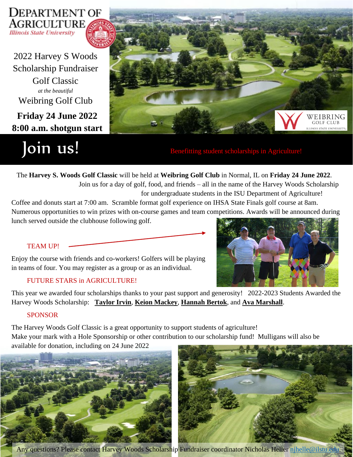

**Friday 24 June 2022 8:00 a.m. shotgun start** 2022 Harvey S Woods Scholarship Fundraiser Golf Classic *at the beautiful* Weibring Golf Club

Join us! Benefitting student scholarships in Agriculture!



 The **Harvey S. Woods Golf Classic** will be held at **Weibring Golf Club** in Normal, IL on **Friday 24 June 2022**. Join us for a day of golf, food, and friends – all in the name of the Harvey Woods Scholarship for undergraduate students in the ISU Department of Agriculture!

Coffee and donuts start at 7:00 am. Scramble format golf experience on IHSA State Finals golf course at 8am. Numerous opportunities to win prizes with on-course games and team competitions. Awards will be announced during lunch served outside the clubhouse following golf.

### TEAM UP!

Enjoy the course with friends and co-workers! Golfers will be playing in teams of four. You may register as a group or as an individual.

### FUTURE STARS in AGRICULTURE!



This year we awarded four scholarships thanks to your past support and generosity! 2022-2023 Students Awarded the Harvey Woods Scholarship: **Taylor Irvin**, **Keion Mackey**, **Hannah Bertok**, and **Ava Marshall**.

### SPONSOR

The Harvey Woods Golf Classic is a great opportunity to support students of agriculture! Make your mark with a Hole Sponsorship or other contribution to our scholarship fund! Mulligans will also be available for donation, including on 24 June 2022





Any questions? Please contact Harvey Woods Scholarship Fundraiser coordinator Nicholas Heller [njhelle@ilstu.edu](mailto:njhelle@ilstu.edu)